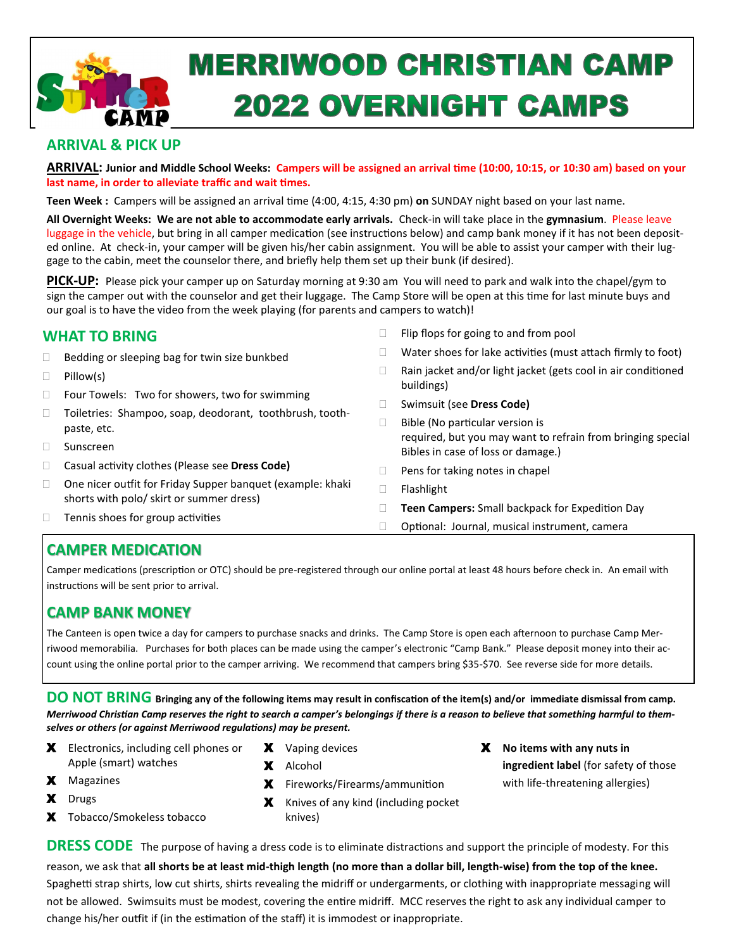

# **MERRIWOOD CHRISTIAN CAMP 2022 OVERNIGHT CAMPS**

## **ARRIVAL & PICK UP**

**ARRIVAL: Junior and Middle School Weeks: Campers will be assigned an arrival time (10:00, 10:15, or 10:30 am) based on your last name, in order to alleviate traffic and wait times.** 

**Teen Week :** Campers will be assigned an arrival time (4:00, 4:15, 4:30 pm) **on** SUNDAY night based on your last name.

**All Overnight Weeks: We are not able to accommodate early arrivals.** Check-in will take place in the **gymnasium**. Please leave luggage in the vehicle, but bring in all camper medication (see instructions below) and camp bank money if it has not been deposited online. At check-in, your camper will be given his/her cabin assignment. You will be able to assist your camper with their luggage to the cabin, meet the counselor there, and briefly help them set up their bunk (if desired).

**PICK-UP:** Please pick your camper up on Saturday morning at 9:30 am You will need to park and walk into the chapel/gym to sign the camper out with the counselor and get their luggage. The Camp Store will be open at this time for last minute buys and our goal is to have the video from the week playing (for parents and campers to watch)!

## **WHAT TO BRING**

- $\Box$  Bedding or sleeping bag for twin size bunkbed
- $\Box$  Pillow(s)
- □ Four Towels: Two for showers, two for swimming
- Toiletries: Shampoo, soap, deodorant, toothbrush, toothpaste, etc.
- Sunscreen
- Casual activity clothes (Please see **Dress Code)**
- □ One nicer outfit for Friday Supper banquet (example: khaki shorts with polo/ skirt or summer dress)
- $\Box$  Tennis shoes for group activities
- $\Box$  Flip flops for going to and from pool
- $\Box$  Water shoes for lake activities (must attach firmly to foot)
- $\Box$  Rain jacket and/or light jacket (gets cool in air conditioned buildings)
- Swimsuit (see **Dress Code)**
- $\Box$  Bible (No particular version is required, but you may want to refrain from bringing special Bibles in case of loss or damage.)
- $\Box$  Pens for taking notes in chapel
- Flashlight
- **Teen Campers:** Small backpack for Expedition Day
- □ Optional: Journal, musical instrument, camera

# **CAMPER MEDICATION**

Camper medications (prescription or OTC) should be pre-registered through our online portal at least 48 hours before check in. An email with instructions will be sent prior to arrival.

# **CAMP BANK MONEY**

The Canteen is open twice a day for campers to purchase snacks and drinks. The Camp Store is open each afternoon to purchase Camp Merriwood memorabilia. Purchases for both places can be made using the camper's electronic "Camp Bank." Please deposit money into their account using the online portal prior to the camper arriving. We recommend that campers bring \$35-\$70. See reverse side for more details.

**DO NOT BRING Bringing any of the following items may result in confiscation of the item(s) and/or immediate dismissal from camp.**  *Merriwood Christian Camp reserves the right to search a camper's belongings if there is a reason to believe that something harmful to themselves or others (or against Merriwood regulations) may be present.*

- X Electronics, including cell phones or Apple (smart) watches
- X Vaping devices
- Х Alcohol

change his/her outfit if (in the estimation of the staff) it is immodest or inappropriate.

- Х Fireworks/Firearms/ammunition
- X Knives of any kind (including pocket knives)
- Х **No items with any nuts in ingredient label** (for safety of those with life-threatening allergies)

X Tobacco/Smokeless tobacco

Х Magazines Х Drugs

**DRESS CODE** The purpose of having a dress code is to eliminate distractions and support the principle of modesty. For this reason, we ask that **all shorts be at least mid-thigh length (no more than a dollar bill, length-wise) from the top of the knee.** Spaghetti strap shirts, low cut shirts, shirts revealing the midriff or undergarments, or clothing with inappropriate messaging will not be allowed. Swimsuits must be modest, covering the entire midriff. MCC reserves the right to ask any individual camper to